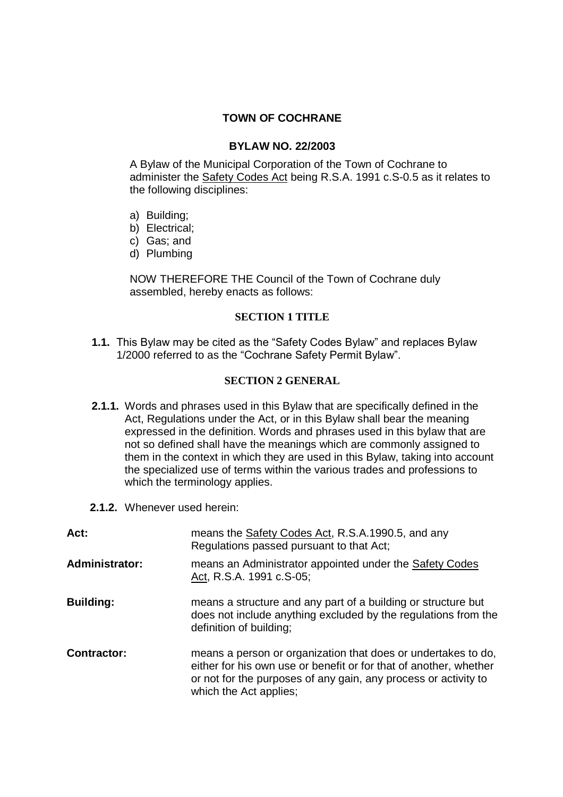## **TOWN OF COCHRANE**

#### **BYLAW NO. 22/2003**

A Bylaw of the Municipal Corporation of the Town of Cochrane to administer the Safety Codes Act being R.S.A. 1991 c.S-0.5 as it relates to the following disciplines:

- a) Building;
- b) Electrical;
- c) Gas; and
- d) Plumbing

NOW THEREFORE THE Council of the Town of Cochrane duly assembled, hereby enacts as follows:

#### **SECTION 1 TITLE**

1.1. This Bylaw may be cited as the "Safety Codes Bylaw" and replaces Bylaw 1/2000 referred to as the "Cochrane Safety Permit Bylaw".

### **SECTION 2 GENERAL**

- **2.1.1.** Words and phrases used in this Bylaw that are specifically defined in the Act, Regulations under the Act, or in this Bylaw shall bear the meaning expressed in the definition. Words and phrases used in this bylaw that are not so defined shall have the meanings which are commonly assigned to them in the context in which they are used in this Bylaw, taking into account the specialized use of terms within the various trades and professions to which the terminology applies.
- **2.1.2.** Whenever used herein:

| Act:                  | means the <b>Safety Codes Act, R.S.A.1990.5</b> , and any<br>Regulations passed pursuant to that Act;                                                                                                                           |
|-----------------------|---------------------------------------------------------------------------------------------------------------------------------------------------------------------------------------------------------------------------------|
| <b>Administrator:</b> | means an Administrator appointed under the Safety Codes<br>Act, R.S.A. 1991 c.S-05;                                                                                                                                             |
| <b>Building:</b>      | means a structure and any part of a building or structure but<br>does not include anything excluded by the regulations from the<br>definition of building;                                                                      |
| Contractor:           | means a person or organization that does or undertakes to do,<br>either for his own use or benefit or for that of another, whether<br>or not for the purposes of any gain, any process or activity to<br>which the Act applies; |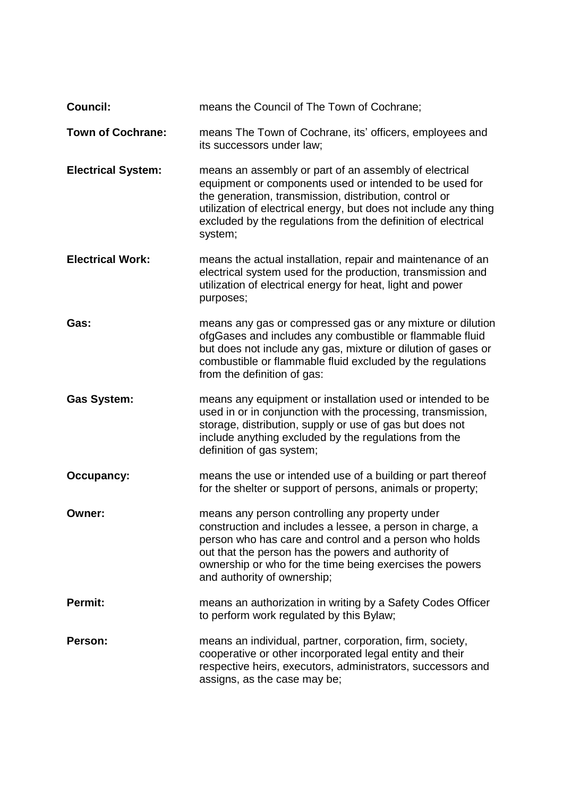| <b>Council:</b>           | means the Council of The Town of Cochrane;                                                                                                                                                                                                                                                                                  |
|---------------------------|-----------------------------------------------------------------------------------------------------------------------------------------------------------------------------------------------------------------------------------------------------------------------------------------------------------------------------|
| <b>Town of Cochrane:</b>  | means The Town of Cochrane, its' officers, employees and<br>its successors under law;                                                                                                                                                                                                                                       |
| <b>Electrical System:</b> | means an assembly or part of an assembly of electrical<br>equipment or components used or intended to be used for<br>the generation, transmission, distribution, control or<br>utilization of electrical energy, but does not include any thing<br>excluded by the regulations from the definition of electrical<br>system; |
| <b>Electrical Work:</b>   | means the actual installation, repair and maintenance of an<br>electrical system used for the production, transmission and<br>utilization of electrical energy for heat, light and power<br>purposes;                                                                                                                       |
| Gas:                      | means any gas or compressed gas or any mixture or dilution<br>ofgGases and includes any combustible or flammable fluid<br>but does not include any gas, mixture or dilution of gases or<br>combustible or flammable fluid excluded by the regulations<br>from the definition of gas:                                        |
| <b>Gas System:</b>        | means any equipment or installation used or intended to be<br>used in or in conjunction with the processing, transmission,<br>storage, distribution, supply or use of gas but does not<br>include anything excluded by the regulations from the<br>definition of gas system;                                                |
| Occupancy:                | means the use or intended use of a building or part thereof<br>for the shelter or support of persons, animals or property;                                                                                                                                                                                                  |
| Owner:                    | means any person controlling any property under<br>construction and includes a lessee, a person in charge, a<br>person who has care and control and a person who holds<br>out that the person has the powers and authority of<br>ownership or who for the time being exercises the powers<br>and authority of ownership;    |
| Permit:                   | means an authorization in writing by a Safety Codes Officer<br>to perform work regulated by this Bylaw;                                                                                                                                                                                                                     |
| Person:                   | means an individual, partner, corporation, firm, society,<br>cooperative or other incorporated legal entity and their<br>respective heirs, executors, administrators, successors and<br>assigns, as the case may be;                                                                                                        |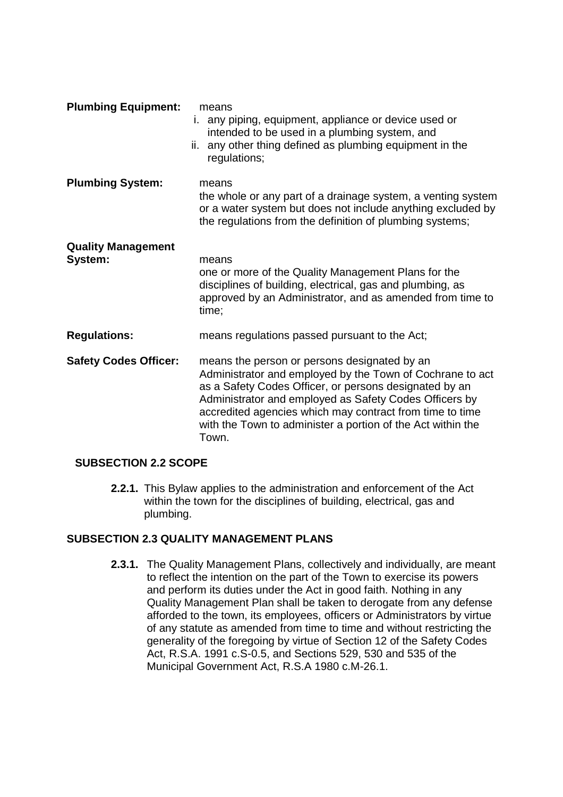| <b>Plumbing Equipment:</b>           | means<br>i. any piping, equipment, appliance or device used or<br>intended to be used in a plumbing system, and<br>ii. any other thing defined as plumbing equipment in the<br>regulations;                                                                                                                                                                       |
|--------------------------------------|-------------------------------------------------------------------------------------------------------------------------------------------------------------------------------------------------------------------------------------------------------------------------------------------------------------------------------------------------------------------|
| <b>Plumbing System:</b>              | means<br>the whole or any part of a drainage system, a venting system<br>or a water system but does not include anything excluded by<br>the regulations from the definition of plumbing systems;                                                                                                                                                                  |
| <b>Quality Management</b><br>System: | means<br>one or more of the Quality Management Plans for the<br>disciplines of building, electrical, gas and plumbing, as<br>approved by an Administrator, and as amended from time to<br>time;                                                                                                                                                                   |
| <b>Regulations:</b>                  | means regulations passed pursuant to the Act;                                                                                                                                                                                                                                                                                                                     |
| <b>Safety Codes Officer:</b>         | means the person or persons designated by an<br>Administrator and employed by the Town of Cochrane to act<br>as a Safety Codes Officer, or persons designated by an<br>Administrator and employed as Safety Codes Officers by<br>accredited agencies which may contract from time to time<br>with the Town to administer a portion of the Act within the<br>Town. |

## **SUBSECTION 2.2 SCOPE**

**2.2.1.** This Bylaw applies to the administration and enforcement of the Act within the town for the disciplines of building, electrical, gas and plumbing.

## **SUBSECTION 2.3 QUALITY MANAGEMENT PLANS**

**2.3.1.** The Quality Management Plans, collectively and individually, are meant to reflect the intention on the part of the Town to exercise its powers and perform its duties under the Act in good faith. Nothing in any Quality Management Plan shall be taken to derogate from any defense afforded to the town, its employees, officers or Administrators by virtue of any statute as amended from time to time and without restricting the generality of the foregoing by virtue of Section 12 of the Safety Codes Act, R.S.A. 1991 c.S-0.5, and Sections 529, 530 and 535 of the Municipal Government Act, R.S.A 1980 c.M-26.1.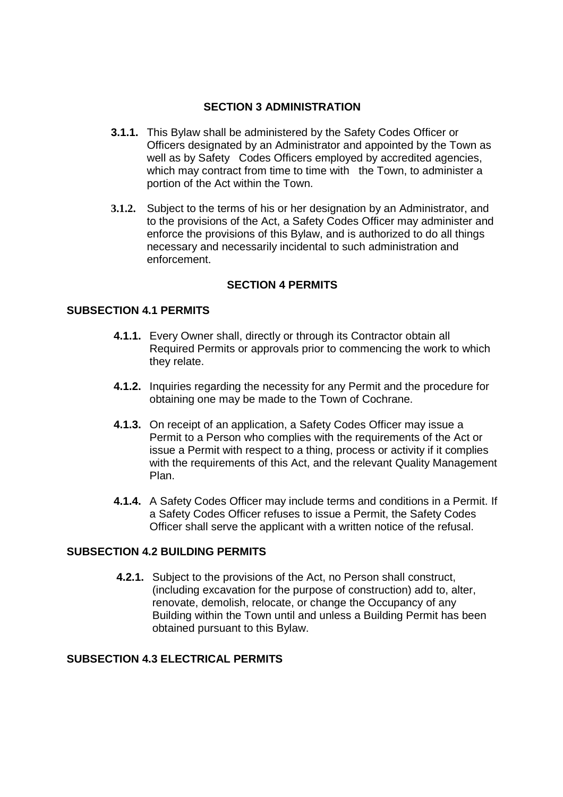## **SECTION 3 ADMINISTRATION**

- **3.1.1.** This Bylaw shall be administered by the Safety Codes Officer or Officers designated by an Administrator and appointed by the Town as well as by Safety Codes Officers employed by accredited agencies, which may contract from time to time with the Town, to administer a portion of the Act within the Town.
- **3.1.2.** Subject to the terms of his or her designation by an Administrator, and to the provisions of the Act, a Safety Codes Officer may administer and enforce the provisions of this Bylaw, and is authorized to do all things necessary and necessarily incidental to such administration and enforcement.

## **SECTION 4 PERMITS**

### **SUBSECTION 4.1 PERMITS**

- **4.1.1.** Every Owner shall, directly or through its Contractor obtain all Required Permits or approvals prior to commencing the work to which they relate.
- **4.1.2.** Inquiries regarding the necessity for any Permit and the procedure for obtaining one may be made to the Town of Cochrane.
- **4.1.3.** On receipt of an application, a Safety Codes Officer may issue a Permit to a Person who complies with the requirements of the Act or issue a Permit with respect to a thing, process or activity if it complies with the requirements of this Act, and the relevant Quality Management Plan.
- **4.1.4.** A Safety Codes Officer may include terms and conditions in a Permit. If a Safety Codes Officer refuses to issue a Permit, the Safety Codes Officer shall serve the applicant with a written notice of the refusal.

### **SUBSECTION 4.2 BUILDING PERMITS**

**4.2.1.** Subject to the provisions of the Act, no Person shall construct, (including excavation for the purpose of construction) add to, alter, renovate, demolish, relocate, or change the Occupancy of any Building within the Town until and unless a Building Permit has been obtained pursuant to this Bylaw.

## **SUBSECTION 4.3 ELECTRICAL PERMITS**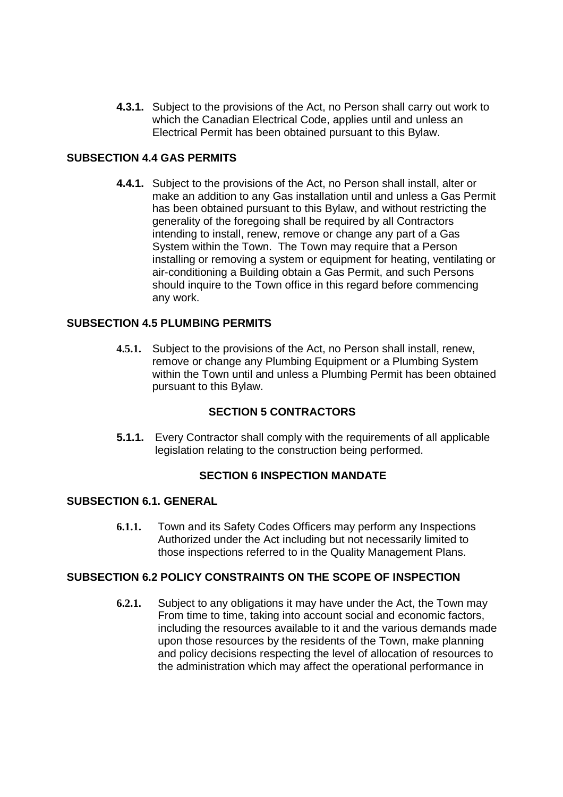**4.3.1.** Subject to the provisions of the Act, no Person shall carry out work to which the Canadian Electrical Code, applies until and unless an Electrical Permit has been obtained pursuant to this Bylaw.

# **SUBSECTION 4.4 GAS PERMITS**

**4.4.1.** Subject to the provisions of the Act, no Person shall install, alter or make an addition to any Gas installation until and unless a Gas Permit has been obtained pursuant to this Bylaw, and without restricting the generality of the foregoing shall be required by all Contractors intending to install, renew, remove or change any part of a Gas System within the Town. The Town may require that a Person installing or removing a system or equipment for heating, ventilating or air-conditioning a Building obtain a Gas Permit, and such Persons should inquire to the Town office in this regard before commencing any work.

## **SUBSECTION 4.5 PLUMBING PERMITS**

**4.5.1.** Subject to the provisions of the Act, no Person shall install, renew, remove or change any Plumbing Equipment or a Plumbing System within the Town until and unless a Plumbing Permit has been obtained pursuant to this Bylaw.

## **SECTION 5 CONTRACTORS**

**5.1.1.** Every Contractor shall comply with the requirements of all applicable legislation relating to the construction being performed.

#### **SECTION 6 INSPECTION MANDATE**

#### **SUBSECTION 6.1. GENERAL**

**6.1.1.** Town and its Safety Codes Officers may perform any Inspections Authorized under the Act including but not necessarily limited to those inspections referred to in the Quality Management Plans.

#### **SUBSECTION 6.2 POLICY CONSTRAINTS ON THE SCOPE OF INSPECTION**

**6.2.1.** Subject to any obligations it may have under the Act, the Town may From time to time, taking into account social and economic factors, including the resources available to it and the various demands made upon those resources by the residents of the Town, make planning and policy decisions respecting the level of allocation of resources to the administration which may affect the operational performance in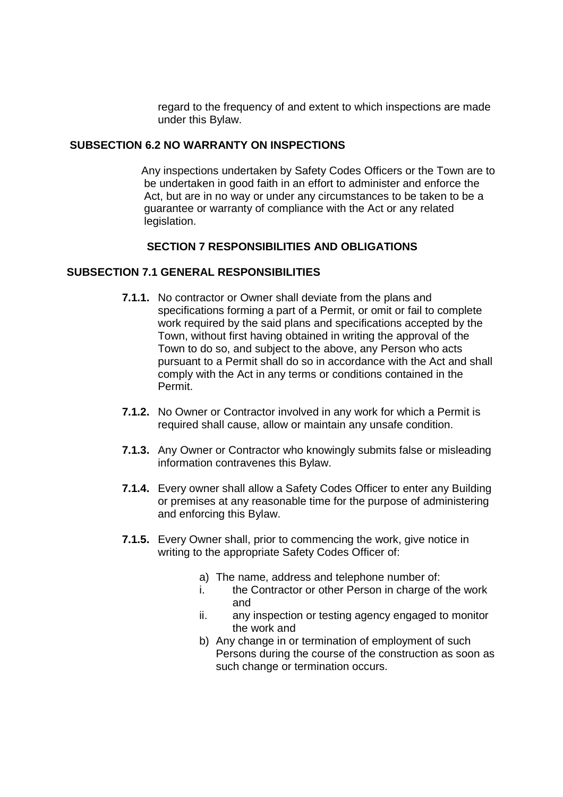regard to the frequency of and extent to which inspections are made under this Bylaw.

## **SUBSECTION 6.2 NO WARRANTY ON INSPECTIONS**

Any inspections undertaken by Safety Codes Officers or the Town are to be undertaken in good faith in an effort to administer and enforce the Act, but are in no way or under any circumstances to be taken to be a guarantee or warranty of compliance with the Act or any related legislation.

### **SECTION 7 RESPONSIBILITIES AND OBLIGATIONS**

### **SUBSECTION 7.1 GENERAL RESPONSIBILITIES**

- **7.1.1.** No contractor or Owner shall deviate from the plans and specifications forming a part of a Permit, or omit or fail to complete work required by the said plans and specifications accepted by the Town, without first having obtained in writing the approval of the Town to do so, and subject to the above, any Person who acts pursuant to a Permit shall do so in accordance with the Act and shall comply with the Act in any terms or conditions contained in the Permit.
- **7.1.2.** No Owner or Contractor involved in any work for which a Permit is required shall cause, allow or maintain any unsafe condition.
- **7.1.3.** Any Owner or Contractor who knowingly submits false or misleading information contravenes this Bylaw.
- **7.1.4.** Every owner shall allow a Safety Codes Officer to enter any Building or premises at any reasonable time for the purpose of administering and enforcing this Bylaw.
- **7.1.5.** Every Owner shall, prior to commencing the work, give notice in writing to the appropriate Safety Codes Officer of:
	- a) The name, address and telephone number of:
	- i. the Contractor or other Person in charge of the work and
	- ii. any inspection or testing agency engaged to monitor the work and
	- b) Any change in or termination of employment of such Persons during the course of the construction as soon as such change or termination occurs.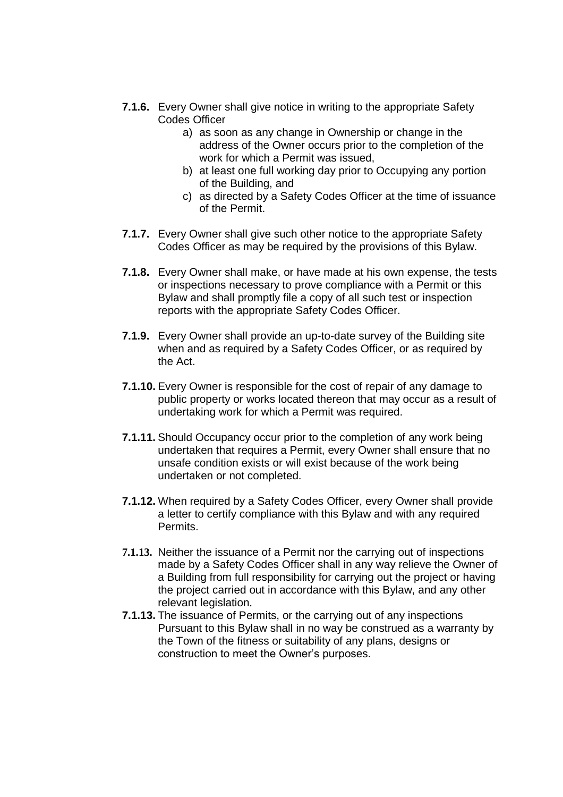- **7.1.6.** Every Owner shall give notice in writing to the appropriate Safety Codes Officer
	- a) as soon as any change in Ownership or change in the address of the Owner occurs prior to the completion of the work for which a Permit was issued,
	- b) at least one full working day prior to Occupying any portion of the Building, and
	- c) as directed by a Safety Codes Officer at the time of issuance of the Permit.
- **7.1.7.** Every Owner shall give such other notice to the appropriate Safety Codes Officer as may be required by the provisions of this Bylaw.
- **7.1.8.** Every Owner shall make, or have made at his own expense, the tests or inspections necessary to prove compliance with a Permit or this Bylaw and shall promptly file a copy of all such test or inspection reports with the appropriate Safety Codes Officer.
- **7.1.9.** Every Owner shall provide an up-to-date survey of the Building site when and as required by a Safety Codes Officer, or as required by the Act.
- **7.1.10.** Every Owner is responsible for the cost of repair of any damage to public property or works located thereon that may occur as a result of undertaking work for which a Permit was required.
- **7.1.11.** Should Occupancy occur prior to the completion of any work being undertaken that requires a Permit, every Owner shall ensure that no unsafe condition exists or will exist because of the work being undertaken or not completed.
- **7.1.12.** When required by a Safety Codes Officer, every Owner shall provide a letter to certify compliance with this Bylaw and with any required **Permits**
- **7.1.13.** Neither the issuance of a Permit nor the carrying out of inspections made by a Safety Codes Officer shall in any way relieve the Owner of a Building from full responsibility for carrying out the project or having the project carried out in accordance with this Bylaw, and any other relevant legislation.
- **7.1.13.** The issuance of Permits, or the carrying out of any inspections Pursuant to this Bylaw shall in no way be construed as a warranty by the Town of the fitness or suitability of any plans, designs or construction to meet the Owner's purposes.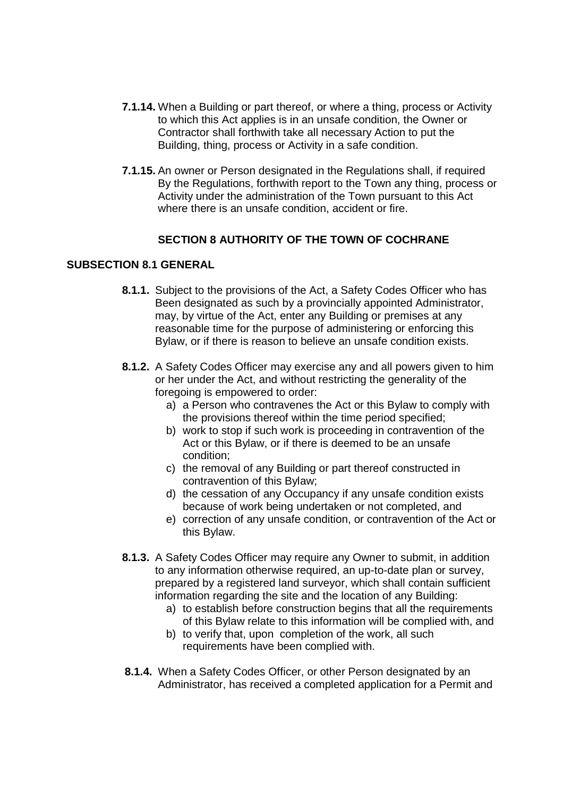- **7.1.14.** When a Building or part thereof, or where a thing, process or Activity to which this Act applies is in an unsafe condition, the Owner or Contractor shall forthwith take all necessary Action to put the Building, thing, process or Activity in a safe condition.
- **7.1.15.** An owner or Person designated in the Regulations shall, if required By the Regulations, forthwith report to the Town any thing, process or Activity under the administration of the Town pursuant to this Act where there is an unsafe condition, accident or fire.

### **SECTION 8 AUTHORITY OF THE TOWN OF COCHRANE**

### **SUBSECTION 8.1 GENERAL**

- **8.1.1.** Subject to the provisions of the Act, a Safety Codes Officer who has Been designated as such by a provincially appointed Administrator, may, by virtue of the Act, enter any Building or premises at any reasonable time for the purpose of administering or enforcing this Bylaw, or if there is reason to believe an unsafe condition exists.
- **8.1.2.** A Safety Codes Officer may exercise any and all powers given to him or her under the Act, and without restricting the generality of the foregoing is empowered to order:
	- a) a Person who contravenes the Act or this Bylaw to comply with the provisions thereof within the time period specified;
	- b) work to stop if such work is proceeding in contravention of the Act or this Bylaw, or if there is deemed to be an unsafe condition;
	- c) the removal of any Building or part thereof constructed in contravention of this Bylaw;
	- d) the cessation of any Occupancy if any unsafe condition exists because of work being undertaken or not completed, and
	- e) correction of any unsafe condition, or contravention of the Act or this Bylaw.
- **8.1.3.** A Safety Codes Officer may require any Owner to submit, in addition to any information otherwise required, an up-to-date plan or survey, prepared by a registered land surveyor, which shall contain sufficient information regarding the site and the location of any Building:
	- a) to establish before construction begins that all the requirements of this Bylaw relate to this information will be complied with, and
	- b) to verify that, upon completion of the work, all such requirements have been complied with.
- **8.1.4.** When a Safety Codes Officer, or other Person designated by an Administrator, has received a completed application for a Permit and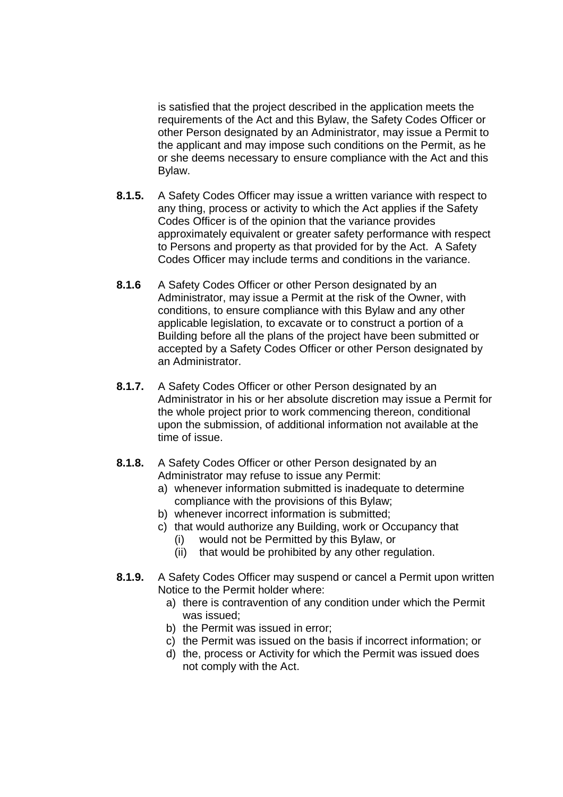is satisfied that the project described in the application meets the requirements of the Act and this Bylaw, the Safety Codes Officer or other Person designated by an Administrator, may issue a Permit to the applicant and may impose such conditions on the Permit, as he or she deems necessary to ensure compliance with the Act and this Bylaw.

- **8.1.5.** A Safety Codes Officer may issue a written variance with respect to any thing, process or activity to which the Act applies if the Safety Codes Officer is of the opinion that the variance provides approximately equivalent or greater safety performance with respect to Persons and property as that provided for by the Act. A Safety Codes Officer may include terms and conditions in the variance.
- **8.1.6** A Safety Codes Officer or other Person designated by an Administrator, may issue a Permit at the risk of the Owner, with conditions, to ensure compliance with this Bylaw and any other applicable legislation, to excavate or to construct a portion of a Building before all the plans of the project have been submitted or accepted by a Safety Codes Officer or other Person designated by an Administrator.
- **8.1.7.** A Safety Codes Officer or other Person designated by an Administrator in his or her absolute discretion may issue a Permit for the whole project prior to work commencing thereon, conditional upon the submission, of additional information not available at the time of issue.
- **8.1.8.** A Safety Codes Officer or other Person designated by an Administrator may refuse to issue any Permit:
	- a) whenever information submitted is inadequate to determine compliance with the provisions of this Bylaw;
	- b) whenever incorrect information is submitted;
	- c) that would authorize any Building, work or Occupancy that
		- (i) would not be Permitted by this Bylaw, or
		- (ii) that would be prohibited by any other regulation.
- **8.1.9.** A Safety Codes Officer may suspend or cancel a Permit upon written Notice to the Permit holder where:
	- a) there is contravention of any condition under which the Permit was issued;
	- b) the Permit was issued in error;
	- c) the Permit was issued on the basis if incorrect information; or
	- d) the, process or Activity for which the Permit was issued does not comply with the Act.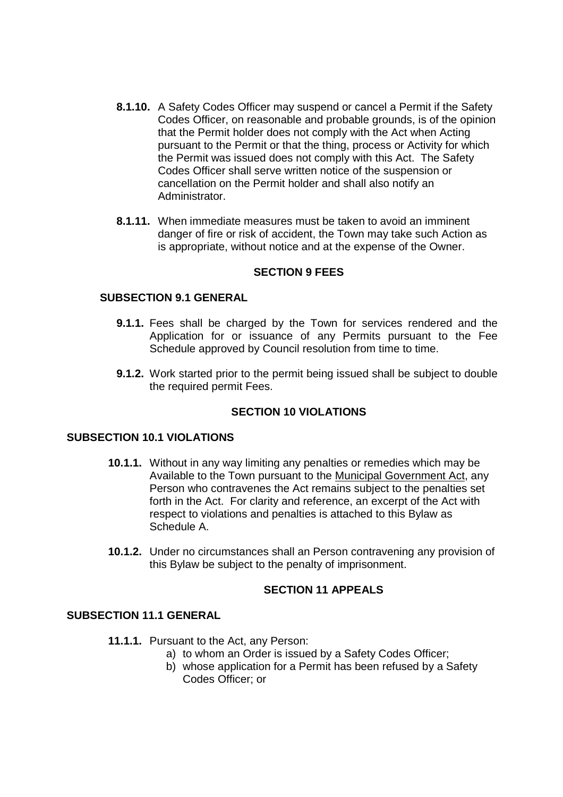- **8.1.10.** A Safety Codes Officer may suspend or cancel a Permit if the Safety Codes Officer, on reasonable and probable grounds, is of the opinion that the Permit holder does not comply with the Act when Acting pursuant to the Permit or that the thing, process or Activity for which the Permit was issued does not comply with this Act. The Safety Codes Officer shall serve written notice of the suspension or cancellation on the Permit holder and shall also notify an Administrator.
- **8.1.11.** When immediate measures must be taken to avoid an imminent danger of fire or risk of accident, the Town may take such Action as is appropriate, without notice and at the expense of the Owner.

### **SECTION 9 FEES**

#### **SUBSECTION 9.1 GENERAL**

- **9.1.1.** Fees shall be charged by the Town for services rendered and the Application for or issuance of any Permits pursuant to the Fee Schedule approved by Council resolution from time to time.
- **9.1.2.** Work started prior to the permit being issued shall be subject to double the required permit Fees.

## **SECTION 10 VIOLATIONS**

#### **SUBSECTION 10.1 VIOLATIONS**

- **10.1.1.** Without in any way limiting any penalties or remedies which may be Available to the Town pursuant to the Municipal Government Act, any Person who contravenes the Act remains subject to the penalties set forth in the Act. For clarity and reference, an excerpt of the Act with respect to violations and penalties is attached to this Bylaw as Schedule A.
- **10.1.2.** Under no circumstances shall an Person contravening any provision of this Bylaw be subject to the penalty of imprisonment.

#### **SECTION 11 APPEALS**

#### **SUBSECTION 11.1 GENERAL**

- **11.1.1.** Pursuant to the Act, any Person:
	- a) to whom an Order is issued by a Safety Codes Officer;
	- b) whose application for a Permit has been refused by a Safety Codes Officer; or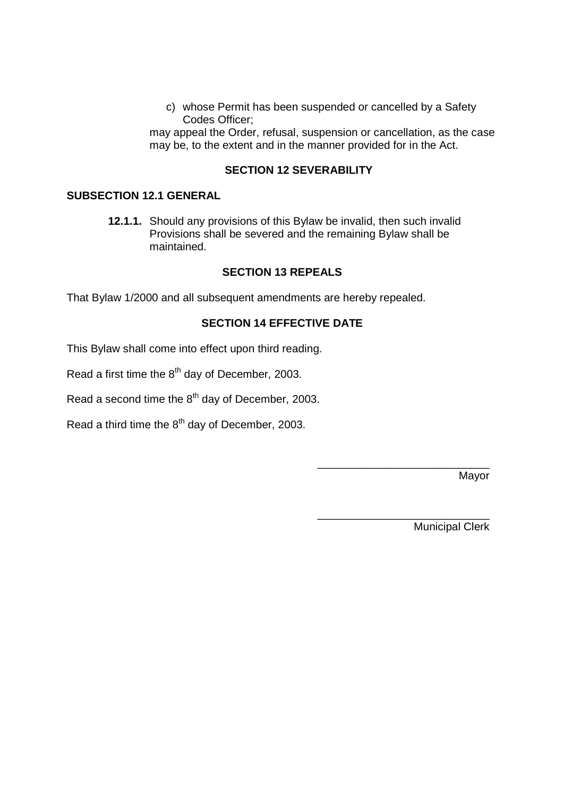c) whose Permit has been suspended or cancelled by a Safety Codes Officer;

may appeal the Order, refusal, suspension or cancellation, as the case may be, to the extent and in the manner provided for in the Act.

### **SECTION 12 SEVERABILITY**

## **SUBSECTION 12.1 GENERAL**

**12.1.1.** Should any provisions of this Bylaw be invalid, then such invalid Provisions shall be severed and the remaining Bylaw shall be maintained.

### **SECTION 13 REPEALS**

That Bylaw 1/2000 and all subsequent amendments are hereby repealed.

## **SECTION 14 EFFECTIVE DATE**

This Bylaw shall come into effect upon third reading.

Read a first time the  $8<sup>th</sup>$  day of December, 2003.

Read a second time the  $8<sup>th</sup>$  day of December, 2003.

Read a third time the  $8<sup>th</sup>$  day of December, 2003.

Mayor

Municipal Clerk

\_\_\_\_\_\_\_\_\_\_\_\_\_\_\_\_\_\_\_\_\_\_\_\_\_\_\_\_

\_\_\_\_\_\_\_\_\_\_\_\_\_\_\_\_\_\_\_\_\_\_\_\_\_\_\_\_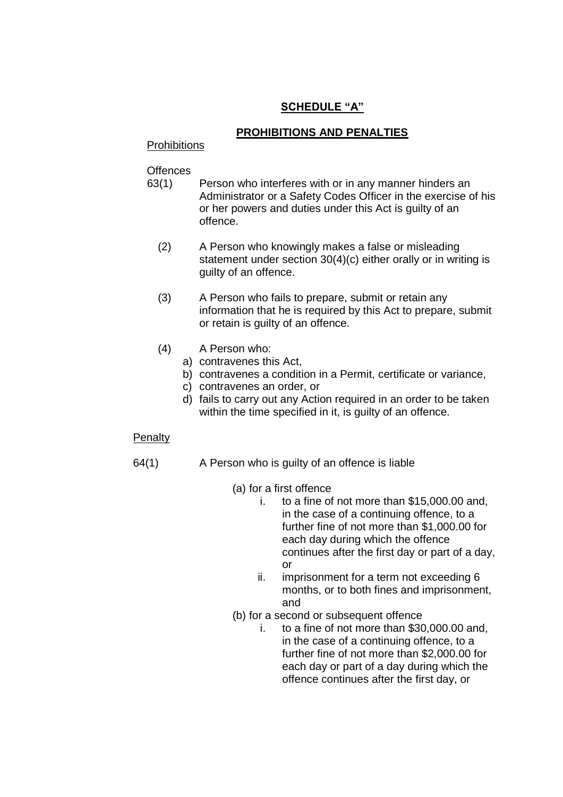# **SCHEDULE"A"**

## **PROHIBITIONS AND PENALTIES**

#### **Prohibitions**

**Offences** 

- 63(1) Person who interferes with or in any manner hinders an Administrator or a Safety Codes Officer in the exercise of his or her powers and duties under this Act is guilty of an offence.
	- (2) A Person who knowingly makes a false or misleading statement under section 30(4)(c) either orally or in writing is guilty of an offence.
	- (3) A Person who fails to prepare, submit or retain any information that he is required by this Act to prepare, submit or retain is guilty of an offence.
	- (4) A Person who:
		- a) contravenes this Act,
		- b) contravenes a condition in a Permit, certificate or variance,
		- c) contravenes an order, or
		- d) fails to carry out any Action required in an order to be taken within the time specified in it, is quilty of an offence.

#### **Penalty**

- 64(1) A Person who is guilty of an offence is liable
	- (a) for a first offence
		- i. to a fine of not more than \$15,000.00 and, in the case of a continuing offence, to a further fine of not more than \$1,000.00 for each day during which the offence continues after the first day or part of a day, or
		- ii. imprisonment for a term not exceeding 6 months, or to both fines and imprisonment, and
	- (b) for a second or subsequent offence
		- i. to a fine of not more than \$30,000.00 and, in the case of a continuing offence, to a further fine of not more than \$2,000.00 for each day or part of a day during which the offence continues after the first day, or